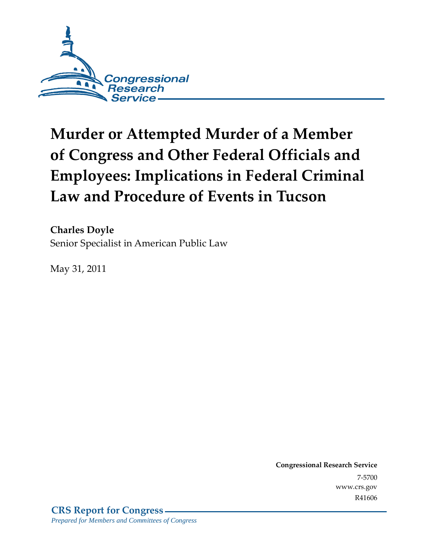

# **Murder or Attempted Murder of a Member of Congress and Other Federal Officials and Employees: Implications in Federal Criminal Law and Procedure of Events in Tucson**

**Charles Doyle**  Senior Specialist in American Public Law

May 31, 2011

**Congressional Research Service** 7-5700 www.crs.gov R41606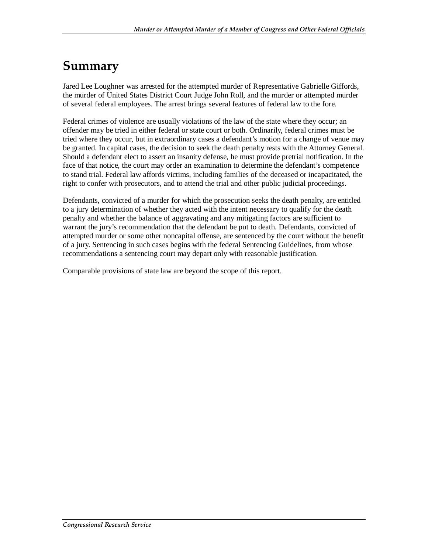### **Summary**

Jared Lee Loughner was arrested for the attempted murder of Representative Gabrielle Giffords, the murder of United States District Court Judge John Roll, and the murder or attempted murder of several federal employees. The arrest brings several features of federal law to the fore.

Federal crimes of violence are usually violations of the law of the state where they occur; an offender may be tried in either federal or state court or both. Ordinarily, federal crimes must be tried where they occur, but in extraordinary cases a defendant's motion for a change of venue may be granted. In capital cases, the decision to seek the death penalty rests with the Attorney General. Should a defendant elect to assert an insanity defense, he must provide pretrial notification. In the face of that notice, the court may order an examination to determine the defendant's competence to stand trial. Federal law affords victims, including families of the deceased or incapacitated, the right to confer with prosecutors, and to attend the trial and other public judicial proceedings.

Defendants, convicted of a murder for which the prosecution seeks the death penalty, are entitled to a jury determination of whether they acted with the intent necessary to qualify for the death penalty and whether the balance of aggravating and any mitigating factors are sufficient to warrant the jury's recommendation that the defendant be put to death. Defendants, convicted of attempted murder or some other noncapital offense, are sentenced by the court without the benefit of a jury. Sentencing in such cases begins with the federal Sentencing Guidelines, from whose recommendations a sentencing court may depart only with reasonable justification.

Comparable provisions of state law are beyond the scope of this report.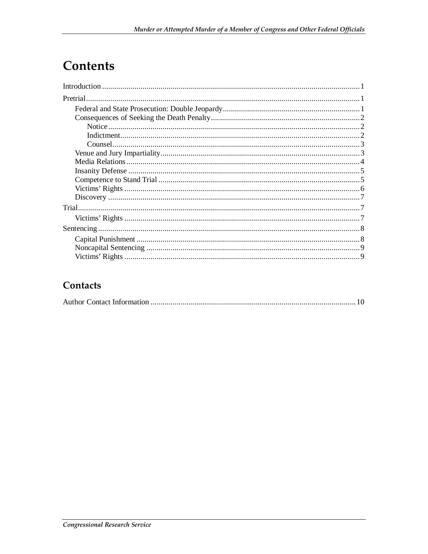# **Contents**

#### Contacts

|--|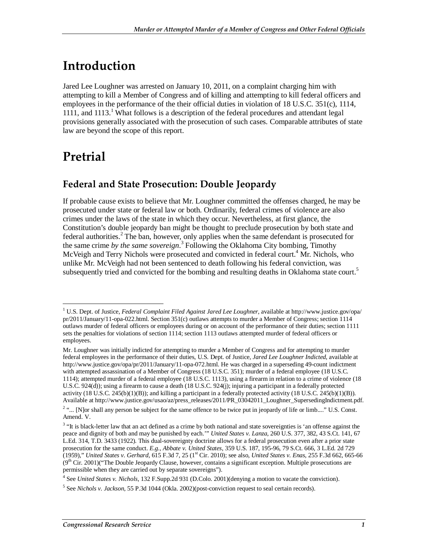# **Introduction**

Jared Lee Loughner was arrested on January 10, 2011, on a complaint charging him with attempting to kill a Member of Congress and of killing and attempting to kill federal officers and employees in the performance of the their official duties in violation of 18 U.S.C. 351(c), 1114, 1111, and 1113.<sup>1</sup> What follows is a description of the federal procedures and attendant legal provisions generally associated with the prosecution of such cases. Comparable attributes of state law are beyond the scope of this report.

## **Pretrial**

### **Federal and State Prosecution: Double Jeopardy**

If probable cause exists to believe that Mr. Loughner committed the offenses charged, he may be prosecuted under state or federal law or both. Ordinarily, federal crimes of violence are also crimes under the laws of the state in which they occur. Nevertheless, at first glance, the Constitution's double jeopardy ban might be thought to preclude prosecution by both state and federal authorities.<sup>2</sup> The ban, however, only applies when the same defendant is prosecuted for the same crime *by the same sovereign*. 3 Following the Oklahoma City bombing, Timothy McVeigh and Terry Nichols were prosecuted and convicted in federal court.<sup>4</sup> Mr. Nichols, who unlike Mr. McVeigh had not been sentenced to death following his federal conviction, was subsequently tried and convicted for the bombing and resulting deaths in Oklahoma state court.<sup>5</sup>

 1 U.S. Dept. of Justice, *Federal Complaint Filed Against Jared Lee Loughner*, available at http://www.justice.gov/opa/ pr/2011/January/11-opa-022.html. Section 351(c) outlaws attempts to murder a Member of Congress; section 1114 outlaws murder of federal officers or employees during or on account of the performance of their duties; section 1111 sets the penalties for violations of section 1114; section 1113 outlaws attempted murder of federal officers or employees.

Mr. Loughner was initially indicted for attempting to murder a Member of Congress and for attempting to murder federal employees in the performance of their duties, U.S. Dept. of Justice, *Jared Lee Loughner Indicted*, available at http://www.justice.gov/opa/pr/2011/January/11-opa-072.html. He was charged in a superseding 49-count indictment with attempted assassination of a Member of Congress (18 U.S.C. 351); murder of a federal employee (18 U.S.C. 1114); attempted murder of a federal employee (18 U.S.C. 1113), using a firearm in relation to a crime of violence (18 U.S.C. 924(d)); using a firearm to cause a death (18 U.S.C. 924(j); injuring a participant in a federally protected activity  $(18 \text{ U.S.C. } 245(b)(1)(B))$ ; and killing a participant in a federally protected activity  $(18 \text{ U.S.C. } 245(b)(1)(B))$ . Available at http://www.justice.gov/usao/az/press\_releases/2011/PR\_03042011\_Loughner\_SupersedingIndictment.pdf.

 $2 \ldots$  [N]or shall any person be subject for the same offence to be twice put in jeopardy of life or limb...." U.S. Const. Amend. V.

 $3$  "It is black-letter law that an act defined as a crime by both national and state sovereignties is 'an offense against the peace and dignity of both and may be punished by each.'" *United States v. Lanza*, 260 U.S. 377, 382, 43 S.Ct. 141, 67 L.Ed. 314, T.D. 3433 (1922). This dual-sovereignty doctrine allows for a federal prosecution even after a prior state prosecution for the same conduct. *E.g., Abbate v. United States*, 359 U.S. 187, 195-96, 79 S.Ct. 666, 3 L.Ed. 2d 729 (1959)," *United States v. Gerhard*, 615 F.3d 7, 25 (1st Cir. 2010); see also, *United States v. Enas*, 255 F.3d 662, 665-66  $(9<sup>th</sup> Cir. 2001)$ ("The Double Jeopardy Clause, however, contains a significant exception. Multiple prosecutions are permissible when they are carried out by separate sovereigns").

<sup>4</sup> See *United States v. Nichols*, 132 F.Supp.2d 931 (D.Colo. 2001)(denying a motion to vacate the conviction).

<sup>5</sup> See *Nichols v. Jackson*, 55 P.3d 1044 (Okla. 2002)(post-conviction request to seal certain records).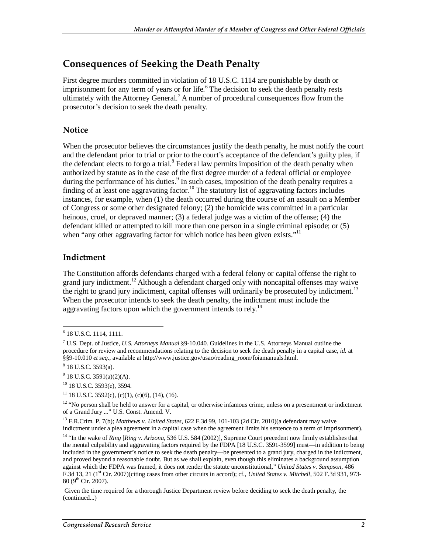#### **Consequences of Seeking the Death Penalty**

First degree murders committed in violation of 18 U.S.C. 1114 are punishable by death or imprisonment for any term of years or for life.<sup>6</sup> The decision to seek the death penalty rests ultimately with the Attorney General.<sup>7</sup> A number of procedural consequences flow from the prosecutor's decision to seek the death penalty.

#### **Notice**

When the prosecutor believes the circumstances justify the death penalty, he must notify the court and the defendant prior to trial or prior to the court's acceptance of the defendant's guilty plea, if the defendant elects to forgo a trial.<sup>8</sup> Federal law permits imposition of the death penalty when authorized by statute as in the case of the first degree murder of a federal official or employee during the performance of his duties.<sup>9</sup> In such cases, imposition of the death penalty requires a finding of at least one aggravating factor.<sup>10</sup> The statutory list of aggravating factors includes instances, for example, when (1) the death occurred during the course of an assault on a Member of Congress or some other designated felony; (2) the homicide was committed in a particular heinous, cruel, or depraved manner; (3) a federal judge was a victim of the offense; (4) the defendant killed or attempted to kill more than one person in a single criminal episode; or (5) when "any other aggravating factor for which notice has been given exists."<sup>11</sup>

#### **Indictment**

The Constitution affords defendants charged with a federal felony or capital offense the right to grand jury indictment.<sup>12</sup> Although a defendant charged only with noncapital offenses may waive the right to grand jury indictment, capital offenses will ordinarily be prosecuted by indictment.<sup>13</sup> When the prosecutor intends to seek the death penalty, the indictment must include the aggravating factors upon which the government intends to rely.<sup>14</sup>

 6 18 U.S.C. 1114, 1111.

<sup>7</sup> U.S. Dept. of Justice, *U.S. Attorneys Manual* §9-10.040. Guidelines in the U.S. Attorneys Manual outline the procedure for review and recommendations relating to the decision to seek the death penalty in a capital case, *id.* at §§9-10.010 et seq., available at http://www.justice.gov/usao/reading\_room/foiamanuals.html.

<sup>8</sup> 18 U.S.C. 3593(a).

 $9^9$  18 U.S.C. 3591(a)(2)(A).

<sup>10 18</sup> U.S.C. 3593(e), 3594.

 $11$  18 U.S.C. 3592(c), (c)(1), (c)(6), (14), (16).

 $12$  "No person shall be held to answer for a capital, or otherwise infamous crime, unless on a presentment or indictment of a Grand Jury ..." U.S. Const. Amend. V.

<sup>13</sup> F.R.Crim. P. 7(b); *Matthews v. United States*, 622 F.3d 99, 101-103 (2d Cir. 2010)(a defendant may waive indictment under a plea agreement in a capital case when the agreement limits his sentence to a term of imprisonment).

<sup>&</sup>lt;sup>14</sup> "In the wake of *Ring [Ring v. Arizona*, 536 U.S. 584 (2002)], Supreme Court precedent now firmly establishes that the mental culpability and aggravating factors required by the FDPA [18 U.S.C. 3591-3599] must—in addition to being included in the government's notice to seek the death penalty—be presented to a grand jury, charged in the indictment, and proved beyond a reasonable doubt. But as we shall explain, even though this eliminates a background assumption against which the FDPA was framed, it does not render the statute unconstitutional," *United States v. Sampson*, 486 F.3d 13, 21 (1<sup>st</sup> Cir. 2007)(citing cases from other circuits in accord); cf., *United States v. Mitchell*, 502 F.3d 931, 973- $80 (9<sup>th</sup> Cir. 2007).$ 

Given the time required for a thorough Justice Department review before deciding to seek the death penalty, the (continued...)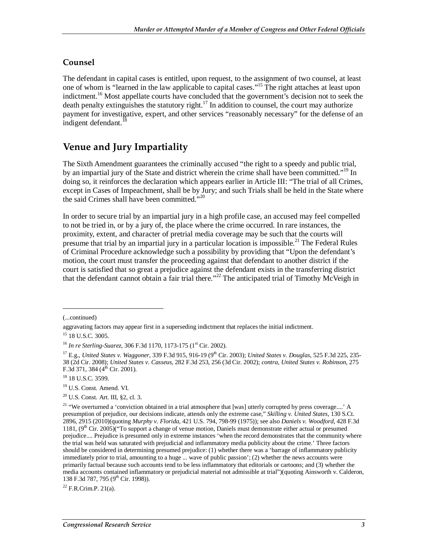#### **Counsel**

The defendant in capital cases is entitled, upon request, to the assignment of two counsel, at least one of whom is "learned in the law applicable to capital cases."15 The right attaches at least upon indictment.<sup>16</sup> Most appellate courts have concluded that the government's decision not to seek the death penalty extinguishes the statutory right.<sup>17</sup> In addition to counsel, the court may authorize payment for investigative, expert, and other services "reasonably necessary" for the defense of an indigent defendant.<sup>18</sup>

#### **Venue and Jury Impartiality**

The Sixth Amendment guarantees the criminally accused "the right to a speedy and public trial, by an impartial jury of the State and district wherein the crime shall have been committed."<sup>19</sup> In doing so, it reinforces the declaration which appears earlier in Article III: "The trial of all Crimes, except in Cases of Impeachment, shall be by Jury; and such Trials shall be held in the State where the said Crimes shall have been committed."<sup>20</sup>

In order to secure trial by an impartial jury in a high profile case, an accused may feel compelled to not be tried in, or by a jury of, the place where the crime occurred. In rare instances, the proximity, extent, and character of pretrial media coverage may be such that the courts will presume that trial by an impartial jury in a particular location is impossible.<sup>21</sup> The Federal Rules of Criminal Procedure acknowledge such a possibility by providing that "Upon the defendant's motion, the court must transfer the proceeding against that defendant to another district if the court is satisfied that so great a prejudice against the defendant exists in the transferring district that the defendant cannot obtain a fair trial there."<sup>22</sup> The anticipated trial of Timothy McVeigh in

1

 $22$  F.R.Crim.P. 21(a).

<sup>(...</sup>continued)

aggravating factors may appear first in a superseding indictment that replaces the initial indictment.

<sup>&</sup>lt;sup>15</sup> 18 U.S.C. 3005.

<sup>&</sup>lt;sup>16</sup> *In re Sterling-Suarez*, 306 F.3d 1170, 1173-175 (1<sup>st</sup> Cir. 2002).

<sup>&</sup>lt;sup>17</sup> E.g., *United States v. Waggoner*, 339 F.3d 915, 916-19 (9<sup>th</sup> Cir. 2003); *United States v. Douglas*, 525 F.3d 225, 235-38 (2d Cir. 2008); *United States v. Casseus*, 282 F.3d 253, 256 (3d Cir. 2002); *contra, United States v. Robinson*, 275 F.3d 371, 384 ( $4^{th}$  Cir. 2001).<br><sup>18</sup> 18 U.S.C. 3599.

<sup>19</sup> U.S. Const. Amend. VI.

<sup>20</sup> U.S. Const. Art. III, §2, cl. 3.

<sup>&</sup>lt;sup>21</sup> "We overturned a 'conviction obtained in a trial atmosphere that [was] utterly corrupted by press coverage....' A presumption of prejudice, our decisions indicate, attends only the extreme case," *Skilling v. United States*, 130 S.Ct. 2896, 2915 (2010)(quoting *Murphy v. Florida*, 421 U.S. 794, 798-99 (1975)); see also *Daniels v. Woodford*, 428 F.3d 1181,  $(9<sup>th</sup> Cir. 2005)$  ("To support a change of venue motion, Daniels must demonstrate either actual or presumed prejudice.... Prejudice is presumed only in extreme instances 'when the record demonstrates that the community where the trial was held was saturated with prejudicial and inflammatory media publicity about the crime.' Three factors should be considered in determining presumed prejudice: (1) whether there was a 'barrage of inflammatory publicity immediately prior to trial, amounting to a huge ... wave of public passion'; (2) whether the news accounts were primarily factual because such accounts tend to be less inflammatory that editorials or cartoons; and (3) whether the media accounts contained inflammatory or prejudicial material not admissible at trial")(quoting Ainsworth v. Calderon, 138 F.3d 787, 795 ( $9<sup>th</sup>$  Cir. 1998)).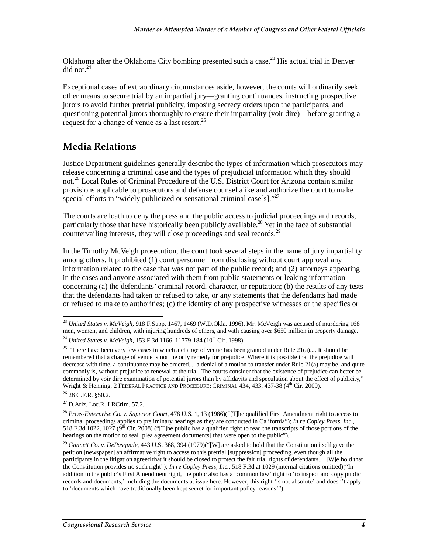Oklahoma after the Oklahoma City bombing presented such a case.<sup>23</sup> His actual trial in Denver did not.<sup>24</sup>

Exceptional cases of extraordinary circumstances aside, however, the courts will ordinarily seek other means to secure trial by an impartial jury—granting continuances, instructing prospective jurors to avoid further pretrial publicity, imposing secrecy orders upon the participants, and questioning potential jurors thoroughly to ensure their impartiality (voir dire)—before granting a request for a change of venue as a last resort.<sup>25</sup>

#### **Media Relations**

Justice Department guidelines generally describe the types of information which prosecutors may release concerning a criminal case and the types of prejudicial information which they should not.26 Local Rules of Criminal Procedure of the U.S. District Court for Arizona contain similar provisions applicable to prosecutors and defense counsel alike and authorize the court to make special efforts in "widely publicized or sensational criminal case[s]."<sup>27</sup>

The courts are loath to deny the press and the public access to judicial proceedings and records, particularly those that have historically been publicly available.<sup>28</sup> Yet in the face of substantial countervailing interests, they will close proceedings and seal records.<sup>29</sup>

In the Timothy McVeigh prosecution, the court took several steps in the name of jury impartiality among others. It prohibited (1) court personnel from disclosing without court approval any information related to the case that was not part of the public record; and (2) attorneys appearing in the cases and anyone associated with them from public statements or leaking information concerning (a) the defendants' criminal record, character, or reputation; (b) the results of any tests that the defendants had taken or refused to take, or any statements that the defendants had made or refused to make to authorities; (c) the identity of any prospective witnesses or the specifics or

<sup>-</sup><sup>23</sup> *United States v. McVeigh*, 918 F.Supp. 1467, 1469 (W.D.Okla. 1996). Mr. McVeigh was accused of murdering 168 men, women, and children, with injuring hundreds of others, and with causing over \$650 million in property damage. <sup>24</sup> *United States v. McVeigh,* 153 F.3d 1166, 11779-184 (10<sup>th</sup> Cir. 1998).

<sup>&</sup>lt;sup>25</sup> "There have been very few cases in which a change of venue has been granted under Rule  $21(a)$ .... It should be remembered that a change of venue is not the only remedy for prejudice. Where it is possible that the prejudice will decrease with time, a continuance may be ordered.... a denial of a motion to transfer under Rule 21(a) may be, and quite commonly is, without prejudice to renewal at the trial. The courts consider that the existence of prejudice can better be determined by voir dire examination of potential jurors than by affidavits and speculation about the effect of publicity," Wright & Henning, 2 FEDERAL PRACTICE AND PROCEDURE: CRIMINAL 434, 433, 437-38 (4<sup>th</sup> Cir. 2009).

 $26$  28 C.F.R.  $$50.2.$ 

<sup>27</sup> D.Ariz. Loc.R. LRCrim. 57.2.

<sup>28</sup> *Press-Enterprise Co. v. Superior Court*, 478 U.S. 1, 13 (1986)("[T]he qualified First Amendment right to access to criminal proceedings applies to preliminary hearings as they are conducted in California"); *In re Copley Press, Inc.*, 518 F.3d 1022, 1027 ( $9^{th}$  Cir. 2008) ("The public has a qualified right to read the transcripts of those portions of the hearings on the motion to seal [plea agreement documents] that were open to the public").

<sup>29</sup> *Gannett Co. v. DePasquale*, 443 U.S. 368, 394 (1979)("[W] are asked to hold that the Constitution itself gave the petition [newspaper] an affirmative right to access to this pretrial [suppression] proceeding, even though all the participants in the litigation agreed that it should be closed to protect the fair trial rights of defendants.... [W]e hold that the Constitution provides no such right"); *In re Copley Press, Inc.*, 518 F.3d at 1029 (internal citations omitted)("In addition to the public's First Amendment right, the pubic also has a 'common law' right to 'to inspect and copy public records and documents,' including the documents at issue here. However, this right 'is not absolute' and doesn't apply to 'documents which have traditionally been kept secret for important policy reasons'").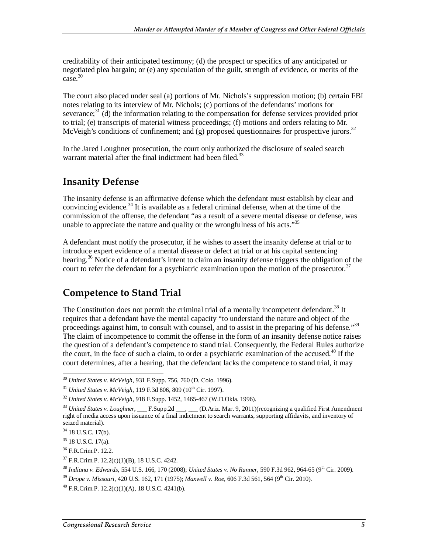creditability of their anticipated testimony; (d) the prospect or specifics of any anticipated or negotiated plea bargain; or (e) any speculation of the guilt, strength of evidence, or merits of the  $case.<sup>30</sup>$ 

The court also placed under seal (a) portions of Mr. Nichols's suppression motion; (b) certain FBI notes relating to its interview of Mr. Nichols; (c) portions of the defendants' motions for severance; $3<sup>1</sup>$  (d) the information relating to the compensation for defense services provided prior to trial; (e) transcripts of material witness proceedings; (f) motions and orders relating to Mr. McVeigh's conditions of confinement; and  $(g)$  proposed questionnaires for prospective jurors.<sup>32</sup>

In the Jared Loughner prosecution, the court only authorized the disclosure of sealed search warrant material after the final indictment had been filed.<sup>33</sup>

#### **Insanity Defense**

The insanity defense is an affirmative defense which the defendant must establish by clear and convincing evidence.<sup>34</sup> It is available as a federal criminal defense, when at the time of the commission of the offense, the defendant "as a result of a severe mental disease or defense, was unable to appreciate the nature and quality or the wrongfulness of his acts.<sup>35</sup>

A defendant must notify the prosecutor, if he wishes to assert the insanity defense at trial or to introduce expert evidence of a mental disease or defect at trial or at his capital sentencing hearing.<sup>36</sup> Notice of a defendant's intent to claim an insanity defense triggers the obligation of the court to refer the defendant for a psychiatric examination upon the motion of the prosecutor.<sup>37</sup>

#### **Competence to Stand Trial**

The Constitution does not permit the criminal trial of a mentally incompetent defendant.<sup>38</sup> It requires that a defendant have the mental capacity "to understand the nature and object of the proceedings against him, to consult with counsel, and to assist in the preparing of his defense."<sup>39</sup> The claim of incompetence to commit the offense in the form of an insanity defense notice raises the question of a defendant's competence to stand trial. Consequently, the Federal Rules authorize the court, in the face of such a claim, to order a psychiatric examination of the accused.<sup>40</sup> If the court determines, after a hearing, that the defendant lacks the competence to stand trial, it may

<sup>-</sup><sup>30</sup> *United States v. McVeigh*, 931 F.Supp. 756, 760 (D. Colo. 1996).

<sup>&</sup>lt;sup>31</sup> *United States v. McVeigh*, 119 F.3d 806, 809 (10<sup>th</sup> Cir. 1997).

<sup>32</sup> *United States v. McVeigh*, 918 F.Supp. 1452, 1465-467 (W.D.Okla. 1996).

<sup>&</sup>lt;sup>33</sup> *United States v. Loughner*, \_\_\_ F.Supp.2d \_\_\_, \_\_\_ (D.Ariz. Mar. 9, 2011)(recognizing a qualified First Amendment right of media access upon issuance of a final indictment to search warrants, supporting affidavits, and inventory of seized material).

 $34$  18 U.S.C. 17(b).

 $35$  18 U.S.C. 17(a).

<sup>36</sup> F.R.Crim.P. 12.2.

 $37$  F.R.Crim.P. 12.2(c)(1)(B), 18 U.S.C. 4242.

<sup>&</sup>lt;sup>38</sup> Indiana v. Edwards, 554 U.S. 166, 170 (2008); *United States v. No Runner*, 590 F.3d 962, 964-65 (9<sup>th</sup> Cir. 2009).

<sup>&</sup>lt;sup>39</sup> *Drope v. Missouri, 420 U.S. 162, 171 (1975); Maxwell v. Roe, 606 F.3d 561, 564 (9<sup>th</sup> Cir. 2010).* 

 $^{40}$  F.R.Crim.P. 12.2(c)(1)(A), 18 U.S.C. 4241(b).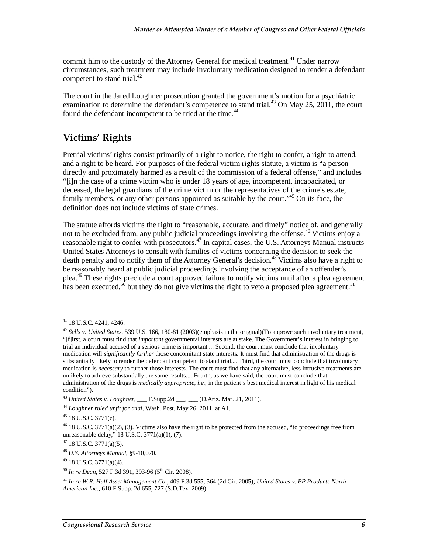commit him to the custody of the Attorney General for medical treatment.<sup>41</sup> Under narrow circumstances, such treatment may include involuntary medication designed to render a defendant competent to stand trial. $^{42}$ 

The court in the Jared Loughner prosecution granted the government's motion for a psychiatric examination to determine the defendant's competence to stand trial.<sup>43</sup> On May 25, 2011, the court found the defendant incompetent to be tried at the time.<sup>44</sup>

### **Victims' Rights**

Pretrial victims' rights consist primarily of a right to notice, the right to confer, a right to attend, and a right to be heard. For purposes of the federal victim rights statute, a victim is "a person directly and proximately harmed as a result of the commission of a federal offense," and includes "[i]n the case of a crime victim who is under 18 years of age, incompetent, incapacitated, or deceased, the legal guardians of the crime victim or the representatives of the crime's estate, family members, or any other persons appointed as suitable by the court."<sup>45</sup> On its face, the definition does not include victims of state crimes.

The statute affords victims the right to "reasonable, accurate, and timely" notice of, and generally not to be excluded from, any public judicial proceedings involving the offense.<sup>46</sup> Victims enjoy a reasonable right to confer with prosecutors.<sup>47</sup> In capital cases, the U.S. Attorneys Manual instructs United States Attorneys to consult with families of victims concerning the decision to seek the death penalty and to notify them of the Attorney General's decision.<sup>48</sup> Victims also have a right to be reasonably heard at public judicial proceedings involving the acceptance of an offender's plea.49 These rights preclude a court approved failure to notify victims until after a plea agreement has been executed,<sup>50</sup> but they do not give victims the right to veto a proposed plea agreement.<sup>51</sup>

<sup>-</sup> $41$  18 U.S.C. 4241, 4246.

<sup>42</sup> *Sells v. United States*, 539 U.S. 166, 180-81 (2003)(emphasis in the original)(To approve such involuntary treatment, "[f]irst, a court must find that *important* governmental interests are at stake. The Government's interest in bringing to trial an individual accused of a serious crime is important.... Second, the court must conclude that involuntary medication will *significantly further* those concomitant state interests. It must find that administration of the drugs is substantially likely to render the defendant competent to stand trial.... Third, the court must conclude that involuntary medication is *necessary* to further those interests. The court must find that any alternative, less intrusive treatments are unlikely to achieve substantially the same results.... Fourth, as we have said, the court must conclude that administration of the drugs is *medically appropriate, i.e.*, in the patient's best medical interest in light of his medical condition").

<sup>43</sup> *United States v. Loughner*, \_\_\_ F.Supp.2d \_\_\_, \_\_\_ (D.Ariz. Mar. 21, 2011).

<sup>44</sup> *Loughner ruled unfit for trial*, Wash. Post, May 26, 2011, at A1.

 $45$  18 U.S.C. 3771(e).

 $46$  18 U.S.C. 3771(a)(2), (3). Victims also have the right to be protected from the accused, "to proceedings free from unreasonable delay," 18 U.S.C. 3771(a)(1), (7).

 $47$  18 U.S.C. 3771(a)(5).

<sup>48</sup> *U.S. Attorneys Manual*, §9-10,070.

 $^{49}$  18 U.S.C. 3771(a)(4).

<sup>&</sup>lt;sup>50</sup> *In re Dean*, 527 F.3d 391, 393-96 (5<sup>th</sup> Cir. 2008).

<sup>51</sup> *In re W.R. Huff Asset Management Co.*, 409 F.3d 555, 564 (2d Cir. 2005); *United States v. BP Products North American Inc*., 610 F.Supp. 2d 655, 727 (S.D.Tex. 2009).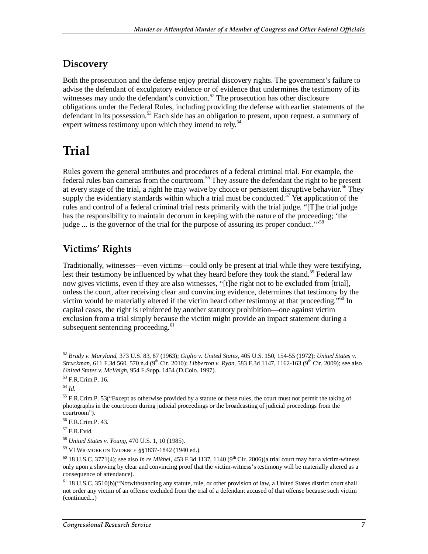#### **Discovery**

Both the prosecution and the defense enjoy pretrial discovery rights. The government's failure to advise the defendant of exculpatory evidence or of evidence that undermines the testimony of its witnesses may undo the defendant's conviction.<sup>52</sup> The prosecution has other disclosure obligations under the Federal Rules, including providing the defense with earlier statements of the defendant in its possession.<sup>53</sup> Each side has an obligation to present, upon request, a summary of expert witness testimony upon which they intend to rely.<sup>54</sup>

## **Trial**

Rules govern the general attributes and procedures of a federal criminal trial. For example, the federal rules ban cameras from the courtroom.<sup>55</sup> They assure the defendant the right to be present at every stage of the trial, a right he may waive by choice or persistent disruptive behavior.<sup>56</sup> They supply the evidentiary standards within which a trial must be conducted.<sup>57</sup> Yet application of the rules and control of a federal criminal trial rests primarily with the trial judge. "[T]he trial judge has the responsibility to maintain decorum in keeping with the nature of the proceeding; 'the judge  $\ldots$  is the governor of the trial for the purpose of assuring its proper conduct.<sup> $\ldots$ 58</sup>

### **Victims' Rights**

Traditionally, witnesses—even victims—could only be present at trial while they were testifying, lest their testimony be influenced by what they heard before they took the stand.<sup>59</sup> Federal law now gives victims, even if they are also witnesses, "[t]he right not to be excluded from [trial], unless the court, after receiving clear and convincing evidence, determines that testimony by the victim would be materially altered if the victim heard other testimony at that proceeding."<sup>60</sup> In capital cases, the right is reinforced by another statutory prohibition—one against victim exclusion from a trial simply because the victim might provide an impact statement during a subsequent sentencing proceeding.<sup>61</sup>

-

<sup>52</sup> *Brady v. Maryland*, 373 U.S. 83, 87 (1963); *Giglio v. United States*, 405 U.S. 150, 154-55 (1972); *United States v. Struckman*, 611 F.3d 560, 570 n.4 (9<sup>th</sup> Cir. 2010); *Libberton v. Ryan*, 583 F.3d 1147, 1162-163 (9<sup>th</sup> Cir. 2009); see also *United States v. McVeigh*, 954 F.Supp. 1454 (D.Colo. 1997).

<sup>53</sup> F.R.Crim.P. 16.

<sup>54</sup> *Id.* 

<sup>&</sup>lt;sup>55</sup> F.R.Crim.P. 53("Except as otherwise provided by a statute or these rules, the court must not permit the taking of photographs in the courtroom during judicial proceedings or the broadcasting of judicial proceedings from the courtroom").

<sup>56</sup> F.R.Crim.P. 43.

 $57$  F.R.Evid.

<sup>58</sup> *United States v. Young*, 470 U.S. 1, 10 (1985).

<sup>59</sup> VI WIGMORE ON EVIDENCE §§1837-1842 (1940 ed.).

 $^{60}$  18 U.S.C. 3771(4); see also *In re Mikhel*, 453 F.3d 1137, 1140 (9<sup>th</sup> Cir. 2006)(a trial court may bar a victim-witness only upon a showing by clear and convincing proof that the victim-witness's testimony will be materially altered as a consequence of attendance).

 $<sup>61</sup>$  18 U.S.C. 3510(b)("Notwithstanding any statute, rule, or other provision of law, a United States district court shall</sup> not order any victim of an offense excluded from the trial of a defendant accused of that offense because such victim (continued...)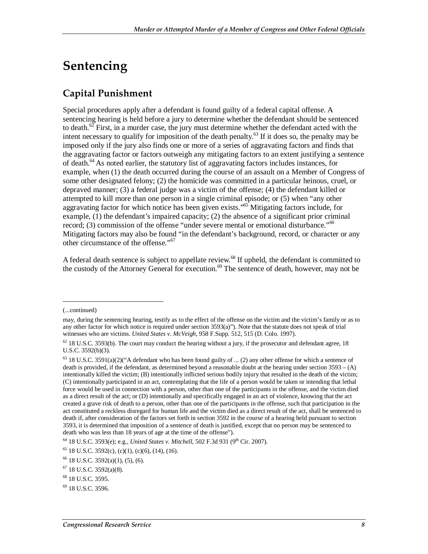# **Sentencing**

### **Capital Punishment**

Special procedures apply after a defendant is found guilty of a federal capital offense. A sentencing hearing is held before a jury to determine whether the defendant should be sentenced to death. $62$  First, in a murder case, the jury must determine whether the defendant acted with the intent necessary to qualify for imposition of the death penalty.<sup>63</sup> If it does so, the penalty may be imposed only if the jury also finds one or more of a series of aggravating factors and finds that the aggravating factor or factors outweigh any mitigating factors to an extent justifying a sentence of death. $^{64}$  As noted earlier, the statutory list of aggravating factors includes instances, for example, when (1) the death occurred during the course of an assault on a Member of Congress of some other designated felony; (2) the homicide was committed in a particular heinous, cruel, or depraved manner; (3) a federal judge was a victim of the offense; (4) the defendant killed or attempted to kill more than one person in a single criminal episode; or (5) when "any other aggravating factor for which notice has been given exists."<sup>65</sup> Mitigating factors include, for example,  $(1)$  the defendant's impaired capacity;  $(2)$  the absence of a significant prior criminal record; (3) commission of the offense "under severe mental or emotional disturbance."<sup>66</sup> Mitigating factors may also be found "in the defendant's background, record, or character or any other circumstance of the offense."67

A federal death sentence is subject to appellate review.<sup>68</sup> If upheld, the defendant is committed to the custody of the Attorney General for execution.<sup>69</sup> The sentence of death, however, may not be

1

<sup>(...</sup>continued)

may, during the sentencing hearing, testify as to the effect of the offense on the victim and the victim's family or as to any other factor for which notice is required under section  $3593(a)$ "). Note that the statute does not speak of trial witnesses who are victims. *United States v. McVeigh*, 958 F.Supp. 512, 515 (D. Colo. 1997).

 $62$  18 U.S.C. 3593(b). The court may conduct the hearing without a jury, if the prosecutor and defendant agree, 18 U.S.C. 3592(b)(3).

 $63$  18 U.S.C. 3591(a)(2)("A defendant who has been found guilty of ... (2) any other offense for which a sentence of death is provided, if the defendant, as determined beyond a reasonable doubt at the hearing under section  $3593 - (A)$ intentionally killed the victim; (B) intentionally inflicted serious bodily injury that resulted in the death of the victim; (C) intentionally participated in an act, contemplating that the life of a person would be taken or intending that lethal force would be used in connection with a person, other than one of the participants in the offense, and the victim died as a direct result of the act; or (D) intentionally and specifically engaged in an act of violence, knowing that the act created a grave risk of death to a person, other than one of the participants in the offense, such that participation in the act constituted a reckless disregard for human life and the victim died as a direct result of the act, shall be sentenced to death if, after consideration of the factors set forth in section 3592 in the course of a hearing held pursuant to section 3593, it is determined that imposition of a sentence of death is justified, except that no person may be sentenced to death who was less than 18 years of age at the time of the offense").

<sup>&</sup>lt;sup>64</sup> 18 U.S.C. 3593(e); e.g., *United States v. Mitchell*, 502 F.3d 931 (9<sup>th</sup> Cir. 2007). <sup>65</sup> 18 U.S.C. 3592(c), (c)(1), (c)(6), (14), (16).

<sup>66 18</sup> U.S.C. 3592(a)(1), (5), (6).

 $67$  18 U.S.C. 3592(a)(8).

<sup>68 18</sup> U.S.C. 3595.

<sup>69 18</sup> U.S.C. 3596.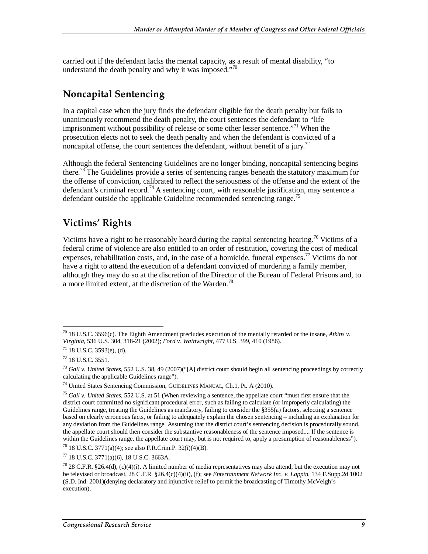carried out if the defendant lacks the mental capacity, as a result of mental disability, "to understand the death penalty and why it was imposed."<sup>70</sup>

#### **Noncapital Sentencing**

In a capital case when the jury finds the defendant eligible for the death penalty but fails to unanimously recommend the death penalty, the court sentences the defendant to "life imprisonment without possibility of release or some other lesser sentence."<sup>71</sup> When the prosecution elects not to seek the death penalty and when the defendant is convicted of a noncapital offense, the court sentences the defendant, without benefit of a jury.<sup>72</sup>

Although the federal Sentencing Guidelines are no longer binding, noncapital sentencing begins there.73 The Guidelines provide a series of sentencing ranges beneath the statutory maximum for the offense of conviction, calibrated to reflect the seriousness of the offense and the extent of the defendant's criminal record.<sup>74</sup> A sentencing court, with reasonable justification, may sentence a defendant outside the applicable Guideline recommended sentencing range.<sup>75</sup>

#### **Victims' Rights**

Victims have a right to be reasonably heard during the capital sentencing hearing.<sup>76</sup> Victims of a federal crime of violence are also entitled to an order of restitution, covering the cost of medical expenses, rehabilitation costs, and, in the case of a homicide, funeral expenses.<sup>77</sup> Victims do not have a right to attend the execution of a defendant convicted of murdering a family member, although they may do so at the discretion of the Director of the Bureau of Federal Prisons and, to a more limited extent, at the discretion of the Warden.<sup>78</sup>

76 18 U.S.C. 3771(a)(4); see also F.R.Crim.P. 32(i)(4)(B).

<sup>-</sup>70 18 U.S.C. 3596(c). The Eighth Amendment precludes execution of the mentally retarded or the insane, *Atkins v. Virginia*, 536 U.S. 304, 318-21 (2002); *Ford v. Wainwright*, 477 U.S. 399, 410 (1986). 71 18 U.S.C. 3593(e), (d).

<sup>72 18</sup> U.S.C. 3551.

<sup>73</sup> *Gall v. United States*, 552 U.S. 38, 49 (2007)("[A] district court should begin all sentencing proceedings by correctly calculating the applicable Guidelines range").

<sup>74</sup> United States Sentencing Commission, GUIDELINES MANUAL, Ch.1, Pt. A (2010).

<sup>75</sup> *Gall v. United States*, 552 U.S. at 51 (When reviewing a sentence, the appellate court "must first ensure that the district court committed no significant procedural error, such as failing to calculate (or improperly calculating) the Guidelines range, treating the Guidelines as mandatory, failing to consider the §355(a) factors, selecting a sentence based on clearly erroneous facts, or failing to adequately explain the chosen sentencing – including an explanation for any deviation from the Guidelines range. Assuming that the district court's sentencing decision is procedurally sound, the appellate court should then consider the substantive reasonableness of the sentence imposed.... If the sentence is within the Guidelines range, the appellate court may, but is not required to, apply a presumption of reasonableness").

<sup>77 18</sup> U.S.C. 3771(a)(6), 18 U.S.C. 3663A.

 $^{78}$  28 C.F.R. §26.4(d), (c)(4)(i). A limited number of media representatives may also attend, but the execution may not be televised or broadcast, 28 C.F.R. §26.4(c)(4)(ii), (f); see *Entertainment Network Inc. v. Lappin*, 134 F.Supp.2d 1002 (S.D. Ind. 2001)(denying declaratory and injunctive relief to permit the broadcasting of Timothy McVeigh's execution).